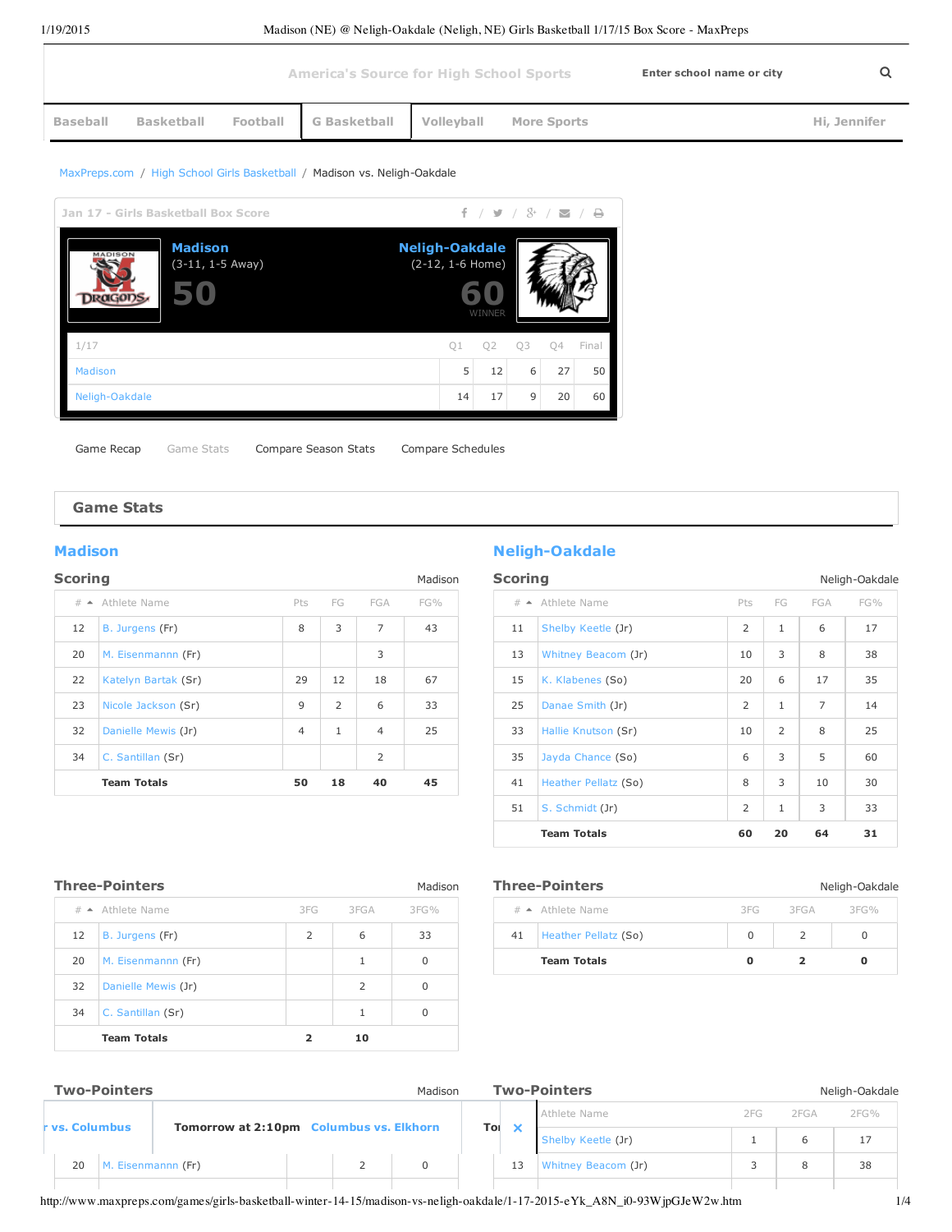|                 |                   |          | <b>America's Source for High School Sports</b> |                   | Enter school name or city |  |              |
|-----------------|-------------------|----------|------------------------------------------------|-------------------|---------------------------|--|--------------|
| <b>Baseball</b> | <b>Basketball</b> | Football | <b>G</b> Basketball                            | <b>Volleyball</b> | <b>More Sports</b>        |  | Hi, Jennifer |

### [MaxPreps.com](http://www.maxpreps.com/national/national.htm) / High School Girls [Basketball](http://www.maxpreps.com/national/girls-basketball.htm) / Madison vs. Neligh-Oakdale

| Jan 17 - Girls Basketball Box Score                                             |    | $f$ / $f$ / $g$ / $g$ / $g$ / $g$ |    |    |       |
|---------------------------------------------------------------------------------|----|-----------------------------------|----|----|-------|
| <b>Madison</b><br><b>Neligh-Oakdale</b><br><b>MADISON</b><br>$(3-11, 1-5 Away)$ |    | (2-12, 1-6 Home)<br>WINNER        |    |    |       |
| 1/17                                                                            | O1 | O <sub>2</sub>                    | O3 | 04 | Final |
| Madison                                                                         | 5  | 12                                | 6  | 27 | 50    |
| Neligh-Oakdale                                                                  | 14 | 17                                | 9  | 20 | 60    |

Game Recap Game Stats Compare Season Stats Compare Schedules

### **Game Stats**

| <b>Scoring</b> |                            |                |                |                | Madison | <b>Scorir</b>   |
|----------------|----------------------------|----------------|----------------|----------------|---------|-----------------|
|                | $# \triangle$ Athlete Name | Pts            | FG             | FGA            | $FG\%$  | $#$ $\triangle$ |
| 12             | B. Jurgens (Fr)            | 8              | 3              | $\overline{7}$ | 43      | 11              |
| 20             | M. Eisenmannn (Fr)         |                |                | 3              |         | 13              |
| 22             | Katelyn Bartak (Sr)        | 29             | 12             | 18             | 67      | 15              |
| 23             | Nicole Jackson (Sr)        | 9              | $\overline{2}$ | 6              | 33      | 25              |
| 32             | Danielle Mewis (Jr)        | $\overline{4}$ | $\mathbf{1}$   | $\overline{4}$ | 25      | 33              |
| 34             | C. Santillan (Sr)          |                |                | $\overline{2}$ |         | 35              |
|                | <b>Team Totals</b>         | 50             | 18             | 40             | 45      | 41              |

# **[Madison](http://www.maxpreps.com/high-schools/madison-dragons-(madison,ne)/girls-basketball/schedule.htm) Madison Neligh-Oakdale**

| Scoring<br>Neligh-Oakdale |                            |                |              |                |     |
|---------------------------|----------------------------|----------------|--------------|----------------|-----|
|                           | $# \triangle$ Athlete Name | Pts            | FG           | FGA            | FG% |
| 11                        | Shelby Keetle (Jr)         | $\overline{2}$ | $\mathbf{1}$ | 6              | 17  |
| 13                        | Whitney Beacom (Jr)        | 10             | 3            | 8              | 38  |
| 15                        | K. Klabenes (So)           | 20             | 6            | 17             | 35  |
| 25                        | Danae Smith (Jr)           | $\overline{2}$ | $\mathbf{1}$ | $\overline{7}$ | 14  |
| 33                        | Hallie Knutson (Sr)        | 10             | 2            | 8              | 25  |
| 35                        | Jayda Chance (So)          | 6              | 3            | 5              | 60  |
| 41                        | Heather Pellatz (So)       | 8              | 3            | 10             | 30  |
| 51                        | S. Schmidt (Jr)            | $\overline{2}$ | $\mathbf{1}$ | 3              | 33  |
|                           | <b>Team Totals</b>         | 60             | 20           | 64             | 31  |

|    | <b>Three-Pointers</b> |     |      | Madison  | <b>Three</b>    |
|----|-----------------------|-----|------|----------|-----------------|
|    | $\#$ Athlete Name     | 3FG | 3FGA | $3FG\%$  | $#$ $\triangle$ |
| 12 | B. Jurgens (Fr)       | 2   | 6    | 33       | 41              |
| 20 | M. Eisenmannn (Fr)    |     | 1    | 0        |                 |
| 32 | Danielle Mewis (Jr)   |     | 2    | $\Omega$ |                 |
| 34 | C. Santillan (Sr)     |     | 1    | 0        |                 |
|    | <b>Team Totals</b>    |     | 10   |          |                 |

12 B. [Jurgens](http://www.maxpreps.com/local/player/stats.aspx?athleteid=715bd534-24fa-4314-8560-9fec2493a766&ssid=b2e164af-cc17-44b1-a3f3-c4798695f001) (Fr) 1 1 1 100 B. Jurgens (Fr) 1 1 100 B. Jurgens (Fr) 1 100 B. Jurgens (Fr) 1 100 B. Jurgens (F 20 M. [Eisenmannn](http://www.maxpreps.com/local/player/stats.aspx?athleteid=b3b35e62-5612-43a4-8ac1-a04073fe65f1&ssid=b2e164af-cc17-44b1-a3f3-c4798695f001) (Fr) 2 0

| <b>Three-Pointers</b><br>Neligh-Oakdale |                      |          |        |        |  |
|-----------------------------------------|----------------------|----------|--------|--------|--|
|                                         | $\#$ Athlete Name    | 3 FG     | 3 FG A | 3 FG % |  |
| 41                                      | Heather Pellatz (So) | $\Omega$ |        |        |  |
|                                         | <b>Team Totals</b>   |          |        |        |  |

## Two-Pointers **Madison** Madison

| vs. Columbus | <b>Tomorrow at 2:10pm Columbus vs. Elkhorn</b> |  |
|--------------|------------------------------------------------|--|

|    |    | <b>Two-Pointers</b> |      |      | Neligh-Oakdale |
|----|----|---------------------|------|------|----------------|
|    |    | Athlete Name        | 2 FG | 2FGA | $2FG\%$        |
| Tо |    | Shelby Keetle (Jr)  |      | b    |                |
|    | 13 | Whitney Beacom (Jr) |      |      | 38             |
|    |    |                     |      |      |                |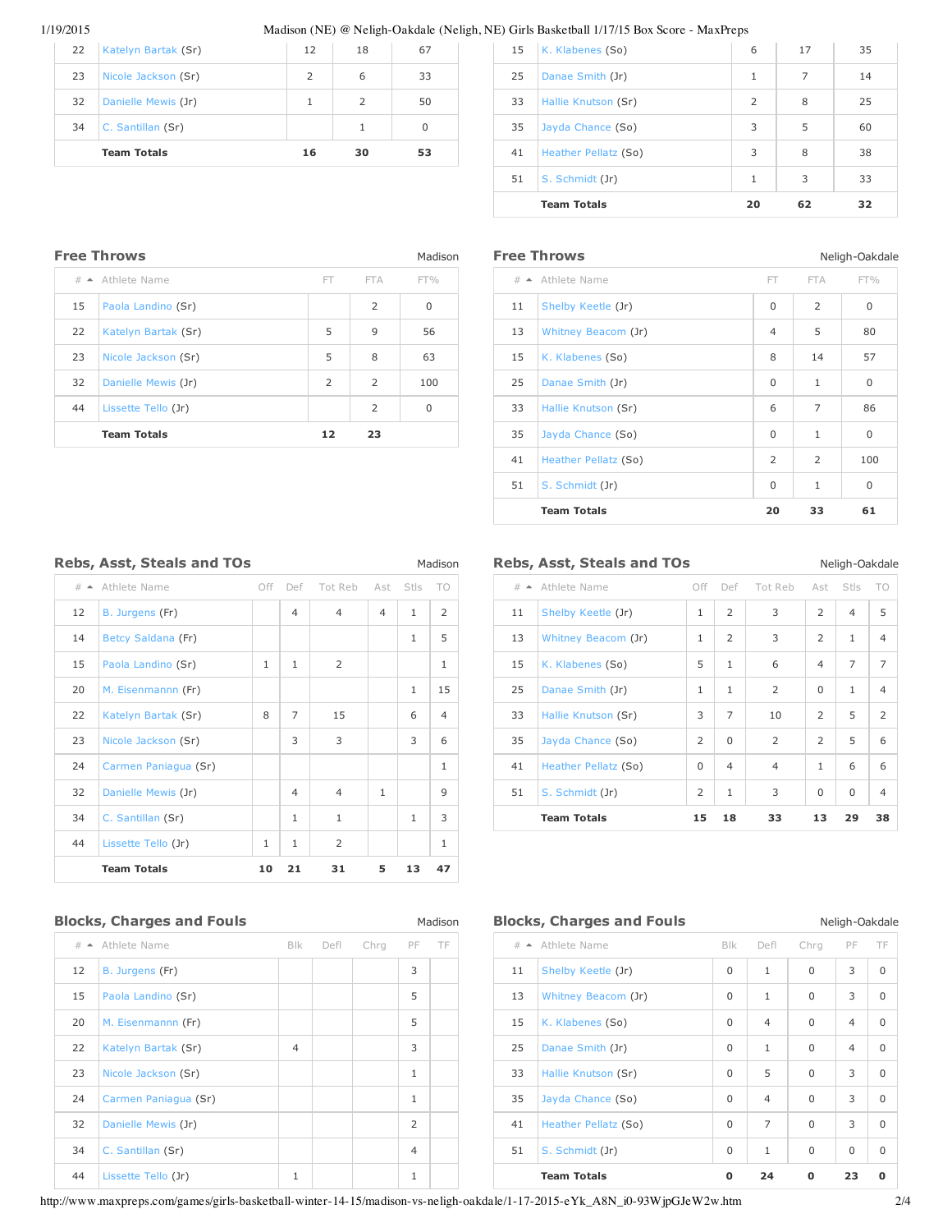### 1/19/2015 Madison (NE) @ Neligh-Oakdale (Neligh, NE) Girls Basketball 1/17/15 Box Score - MaxPreps

|    | <b>Team Totals</b>  |               | 30 | 53 |
|----|---------------------|---------------|----|----|
| 34 | C. Santillan (Sr)   |               |    |    |
| 32 | Danielle Mewis (Jr) |               |    | 50 |
| 23 | Nicole Jackson (Sr) | $\mathcal{P}$ | 6  | 33 |
| 22 | Katelyn Bartak (Sr) | 12            | 18 | 67 |

| 15 | K. Klabenes (So)     | 6              | 17 | 35 |
|----|----------------------|----------------|----|----|
| 25 | Danae Smith (Jr)     | 1              | 7  | 14 |
| 33 | Hallie Knutson (Sr)  | $\overline{2}$ | 8  | 25 |
| 35 | Jayda Chance (So)    | 3              | 5  | 60 |
| 41 | Heather Pellatz (So) | 3              | 8  | 38 |
| 51 | S. Schmidt (Jr)      | 1              | 3  | 33 |
|    | <b>Team Totals</b>   | 20             | 62 | 32 |

|    | <b>Free Throws</b>  |                |                | Madison      | Free 1          |
|----|---------------------|----------------|----------------|--------------|-----------------|
|    | $\#$ Athlete Name   | FT.            | <b>FTA</b>     | $FT\%$       | $#$ $\triangle$ |
| 15 | Paola Landino (Sr)  |                | 2              | $\mathbf{0}$ | 11              |
| 22 | Katelyn Bartak (Sr) | 5              | 9              | 56           | 13              |
| 23 | Nicole Jackson (Sr) | 5              | 8              | 63           | 15              |
| 32 | Danielle Mewis (Jr) | $\overline{2}$ | $\overline{2}$ | 100          | 25              |
| 44 | Lissette Tello (Jr) |                | 2              | $\mathbf{0}$ | 33              |
|    | <b>Team Totals</b>  | 12             | 23             |              | 35              |

| <b>Free Throws</b><br>Neligh-Oakdale |                            |                |                |             |
|--------------------------------------|----------------------------|----------------|----------------|-------------|
|                                      | $# \triangle$ Athlete Name | FT.            | <b>FTA</b>     | $FT\%$      |
| 11                                   | Shelby Keetle (Jr)         | $\Omega$       | $\overline{2}$ | $\mathbf 0$ |
| 13                                   | Whitney Beacom (Jr)        | $\overline{4}$ | 5              | 80          |
| 15                                   | K. Klabenes (So)           | 8              | 14             | 57          |
| 25                                   | Danae Smith (Jr)           | $\mathbf 0$    | 1              | $\mathbf 0$ |
| 33                                   | Hallie Knutson (Sr)        | 6              | $\overline{7}$ | 86          |
| 35                                   | Jayda Chance (So)          | $\mathbf 0$    | $\mathbf{1}$   | $\mathbf 0$ |
| 41                                   | Heather Pellatz (So)       | $\overline{2}$ | $\overline{2}$ | 100         |
| 51                                   | S. Schmidt (Jr)            | $\Omega$       | $\mathbf{1}$   | $\mathbf 0$ |
|                                      | <b>Team Totals</b>         | 20             | 33             | 61          |

|                          | <b>Rebs, Asst, Steals and TOs</b> |              |                |                |                |              | Madison        | Rebs,           |
|--------------------------|-----------------------------------|--------------|----------------|----------------|----------------|--------------|----------------|-----------------|
| $\#$<br>$\blacktriangle$ | Athlete Name                      | Off          | Def            | Tot Reb        | Ast            | Stls         | TO             | $#$ $\triangle$ |
| 12                       | B. Jurgens (Fr)                   |              | $\overline{4}$ | $\overline{4}$ | $\overline{4}$ | $\mathbf{1}$ | $\overline{2}$ | 11              |
| 14                       | Betcy Saldana (Fr)                |              |                |                |                | $\mathbf{1}$ | 5              | 13              |
| 15                       | Paola Landino (Sr)                | $\mathbf{1}$ | $\mathbf{1}$   | $\overline{2}$ |                |              | $\mathbf{1}$   | 15              |
| 20                       | M. Eisenmannn (Fr)                |              |                |                |                | $\mathbf{1}$ | 15             | 25              |
| 22                       | Katelyn Bartak (Sr)               | 8            | $\overline{7}$ | 15             |                | 6            | $\overline{4}$ | 33              |
| 23                       | Nicole Jackson (Sr)               |              | 3              | 3              |                | 3            | 6              | 35              |
| 24                       | Carmen Paniagua (Sr)              |              |                |                |                |              | $\mathbf{1}$   | 41              |
| 32                       | Danielle Mewis (Jr)               |              | $\overline{4}$ | $\overline{4}$ | $\mathbf{1}$   |              | 9              | 51              |
| 34                       | C. Santillan (Sr)                 |              | $\mathbf{1}$   | $\mathbf{1}$   |                | $\mathbf{1}$ | 3              |                 |
| 44                       | Lissette Tello (Jr)               | $\mathbf{1}$ | $\mathbf{1}$   | $\overline{2}$ |                |              | $\mathbf{1}$   |                 |
|                          | <b>Team Totals</b>                | 10           | 21             | 31             | 5              | 13           | 47             |                 |

|  |                            | <b>Rebs, Asst, Steals and TOs</b> |  |                             | Neligh-Oakdale |  |
|--|----------------------------|-----------------------------------|--|-----------------------------|----------------|--|
|  | $# \triangle$ Athlete Name |                                   |  | Off Def Tot Reb Ast Stls TO |                |  |

|    | $\#$ Athlete Name    | Off            | Def            | Tot Reb        | Ast            | Stls           | TO.            |
|----|----------------------|----------------|----------------|----------------|----------------|----------------|----------------|
| 11 | Shelby Keetle (Jr)   | $\mathbf{1}$   | $\overline{2}$ | 3              | $\overline{2}$ | $\overline{4}$ | 5              |
| 13 | Whitney Beacom (Jr)  | $\mathbf{1}$   | $\overline{2}$ | 3              | $\overline{2}$ | $\mathbf{1}$   | $\overline{4}$ |
| 15 | K. Klabenes (So)     | 5              | $\mathbf{1}$   | 6              | $\overline{4}$ | $\overline{7}$ | $\overline{7}$ |
| 25 | Danae Smith (Jr)     | $\mathbf{1}$   | $\mathbf{1}$   | $\overline{2}$ | $\Omega$       | 1              | $\overline{4}$ |
| 33 | Hallie Knutson (Sr)  | 3              | $\overline{7}$ | 10             | 2              | 5              | $\overline{2}$ |
| 35 | Jayda Chance (So)    | $\overline{2}$ | $\Omega$       | $\overline{2}$ | $\overline{2}$ | 5              | 6              |
| 41 | Heather Pellatz (So) | $\Omega$       | $\overline{4}$ | $\overline{4}$ | $\mathbf{1}$   | 6              | 6              |
| 51 | S. Schmidt (Jr)      | $\overline{2}$ | $\mathbf{1}$   | 3              | $\Omega$       | 0              | $\overline{4}$ |
|    | <b>Team Totals</b>   | 15             | 18             | 33             | 13             | 29             | 38             |

### **Blocks, Charges and Fouls** Madison

|    | # ▲ Athlete Name     | <b>Blk</b>     | Defl | Chrg | PF             | TF | $#$ $\triangleq$ |
|----|----------------------|----------------|------|------|----------------|----|------------------|
| 12 | B. Jurgens (Fr)      |                |      |      | 3              |    | 11               |
| 15 | Paola Landino (Sr)   |                |      |      | 5              |    | 13               |
| 20 | M. Eisenmannn (Fr)   |                |      |      | 5              |    | 15               |
| 22 | Katelyn Bartak (Sr)  | $\overline{4}$ |      |      | 3              |    | 25               |
| 23 | Nicole Jackson (Sr)  |                |      |      | 1              |    | 33               |
| 24 | Carmen Paniagua (Sr) |                |      |      | 1              |    | 35               |
| 32 | Danielle Mewis (Jr)  |                |      |      | $\overline{2}$ |    | 41               |
| 34 | C. Santillan (Sr)    |                |      |      | $\overline{4}$ |    | 51               |
| 44 | Lissette Tello (Jr)  | 1              |      |      | 1              |    |                  |
|    |                      |                |      |      |                |    |                  |

### **Blocks, Charges and Fouls** Neligh-Oakdale

| $#$ $\triangle$ | Athlete Name         | <b>BIK</b> | Defl           | Chrg     | PF             | TF          |
|-----------------|----------------------|------------|----------------|----------|----------------|-------------|
| 11              | Shelby Keetle (Jr)   | 0          | $\mathbf{1}$   | $\Omega$ | 3              | $\Omega$    |
| 13              | Whitney Beacom (Jr)  | 0          | $\mathbf{1}$   | 0        | 3              | $\mathbf 0$ |
| 15              | K. Klabenes (So)     | 0          | $\overline{4}$ | $\Omega$ | $\overline{4}$ | $\Omega$    |
| 25              | Danae Smith (Jr)     | 0          | $\mathbf{1}$   | 0        | $\overline{4}$ | $\Omega$    |
| 33              | Hallie Knutson (Sr)  | 0          | 5              | 0        | 3              | $\Omega$    |
| 35              | Jayda Chance (So)    | $\Omega$   | $\overline{4}$ | $\Omega$ | 3              | $\Omega$    |
| 41              | Heather Pellatz (So) | 0          | $\overline{7}$ | 0        | 3              | $\Omega$    |
| 51              | S. Schmidt (Jr)      | 0          | $\mathbf{1}$   | $\Omega$ | 0              | $\Omega$    |
|                 | <b>Team Totals</b>   | 0          | 24             | 0        | 23             | о           |

http://www.maxpreps.com/games/girls-basketball-winter-14-15/madison-vs-neligh-oakdale/1-17-2015-eYk\_A8N\_i0-93WjpGJeW2w.htm 2/4